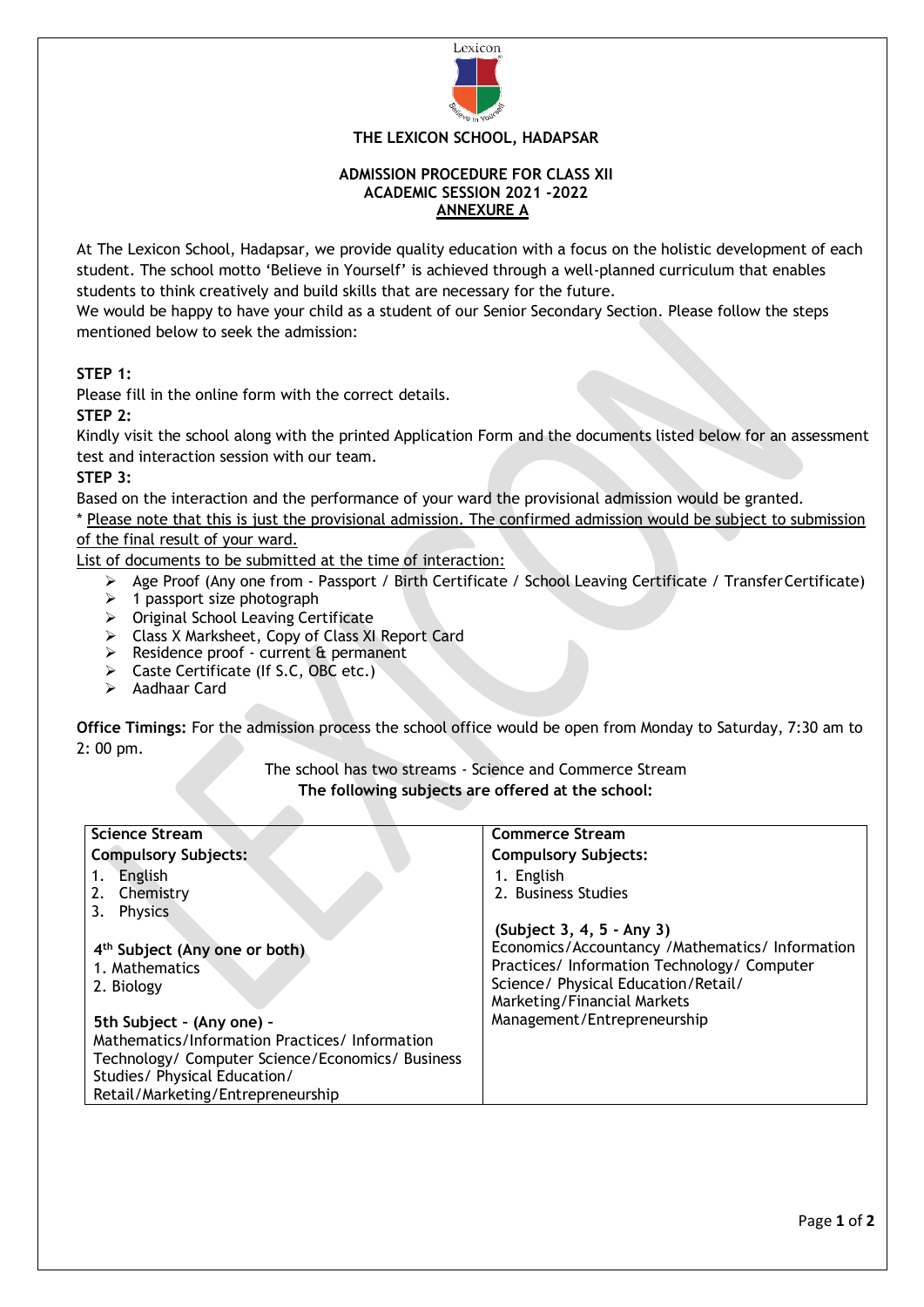

# **THE LEXICON SCHOOL, HADAPSAR**

#### **ADMISSION PROCEDURE FOR CLASS XII ACADEMIC SESSION 2021 -2022 ANNEXURE A**

At The Lexicon School, Hadapsar, we provide quality education with a focus on the holistic development of each student. The school motto 'Believe in Yourself' is achieved through a well-planned curriculum that enables students to think creatively and build skills that are necessary for the future.

We would be happy to have your child as a student of our Senior Secondary Section. Please follow the steps mentioned below to seek the admission:

# **STEP 1:**

Please fill in the online form with the correct details.

**STEP 2:** 

Kindly visit the school along with the printed Application Form and the documents listed below for an assessment test and interaction session with our team.

# **STEP 3:**

Based on the interaction and the performance of your ward the provisional admission would be granted.

\* Please note that this is just the provisional admission. The confirmed admission would be subject to submission of the final result of your ward.

List of documents to be submitted at the time of interaction:

- Age Proof (Any one from Passport / Birth Certificate / School Leaving Certificate / Transfer Certificate)
- $\geq 1$  passport size photograph
- Original School Leaving Certificate
- Class X Marksheet, Copy of Class XI Report Card

- Residence proof current & permanent
- Caste Certificate (If S.C, OBC etc.)
- Aadhaar Card

**Office Timings:** For the admission process the school office would be open from Monday to Saturday, 7:30 am to 2: 00 pm.

> The school has two streams - Science and Commerce Stream **The following subjects are offered at the school:**

| <b>Science Stream</b>                            | <b>Commerce Stream</b>                          |  |
|--------------------------------------------------|-------------------------------------------------|--|
| <b>Compulsory Subjects:</b>                      | <b>Compulsory Subjects:</b>                     |  |
| English<br>1.                                    | 1. English                                      |  |
| 2. Chemistry                                     | 2. Business Studies                             |  |
| <b>Physics</b>                                   |                                                 |  |
|                                                  | (Subject 3, 4, 5 - Any 3)                       |  |
| 4 <sup>th</sup> Subject (Any one or both)        | Economics/Accountancy /Mathematics/ Information |  |
| 1. Mathematics                                   | Practices/ Information Technology/ Computer     |  |
| 2. Biology                                       | Science/ Physical Education/Retail/             |  |
|                                                  | Marketing/Financial Markets                     |  |
| 5th Subject - (Any one) -                        | Management/Entrepreneurship                     |  |
| Mathematics/Information Practices/Information    |                                                 |  |
| Technology/ Computer Science/Economics/ Business |                                                 |  |
| Studies/ Physical Education/                     |                                                 |  |
| Retail/Marketing/Entrepreneurship                |                                                 |  |